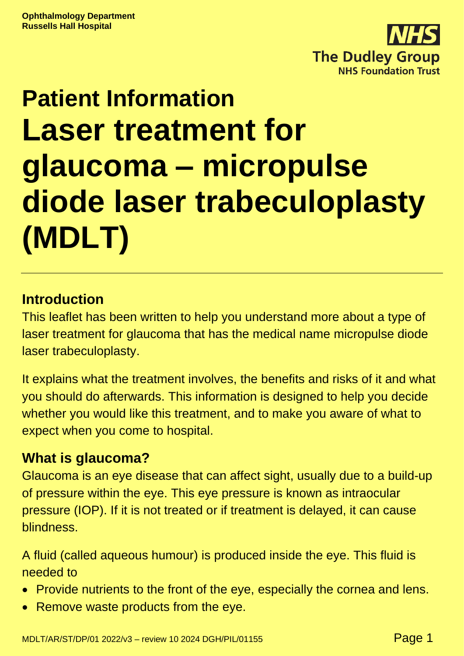

# **Patient Information Laser treatment for glaucoma – micropulse diode laser trabeculoplasty (MDLT)**

## **Introduction**

This leaflet has been written to help you understand more about a type of laser treatment for glaucoma that has the medical name micropulse diode laser trabeculoplasty.

It explains what the treatment involves, the benefits and risks of it and what you should do afterwards. This information is designed to help you decide whether you would like this treatment, and to make you aware of what to expect when you come to hospital.

### **What is glaucoma?**

Glaucoma is an eye disease that can affect sight, usually due to a build-up of pressure within the eye. This eye pressure is known as intraocular pressure (IOP). If it is not treated or if treatment is delayed, it can cause blindness.

A fluid (called aqueous humour) is produced inside the eye. This fluid is needed to

- Provide nutrients to the front of the eye, especially the cornea and lens.
- Remove waste products from the eye.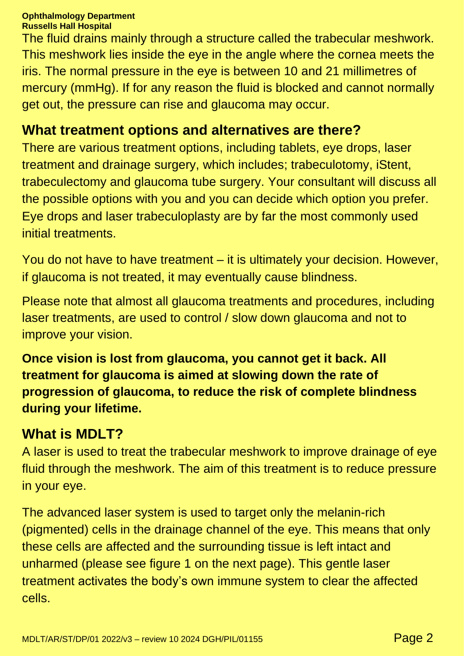The fluid drains mainly through a structure called the trabecular meshwork. This meshwork lies inside the eye in the angle where the cornea meets the iris. The normal pressure in the eye is between 10 and 21 millimetres of mercury (mmHg). If for any reason the fluid is blocked and cannot normally get out, the pressure can rise and glaucoma may occur.

#### **What treatment options and alternatives are there?**

There are various treatment options, including tablets, eye drops, laser treatment and drainage surgery, which includes; trabeculotomy, iStent, trabeculectomy and glaucoma tube surgery. Your consultant will discuss all the possible options with you and you can decide which option you prefer. Eye drops and laser trabeculoplasty are by far the most commonly used initial treatments.

You do not have to have treatment – it is ultimately your decision. However, if glaucoma is not treated, it may eventually cause blindness.

Please note that almost all glaucoma treatments and procedures, including laser treatments, are used to control / slow down glaucoma and not to improve your vision.

**Once vision is lost from glaucoma, you cannot get it back. All treatment for glaucoma is aimed at slowing down the rate of progression of glaucoma, to reduce the risk of complete blindness during your lifetime.**

### **What is MDLT?**

A laser is used to treat the trabecular meshwork to improve drainage of eye fluid through the meshwork. The aim of this treatment is to reduce pressure in your eye.

The advanced laser system is used to target only the melanin-rich (pigmented) cells in the drainage channel of the eye. This means that only these cells are affected and the surrounding tissue is left intact and unharmed (please see figure 1 on the next page). This gentle laser treatment activates the body's own immune system to clear the affected cells.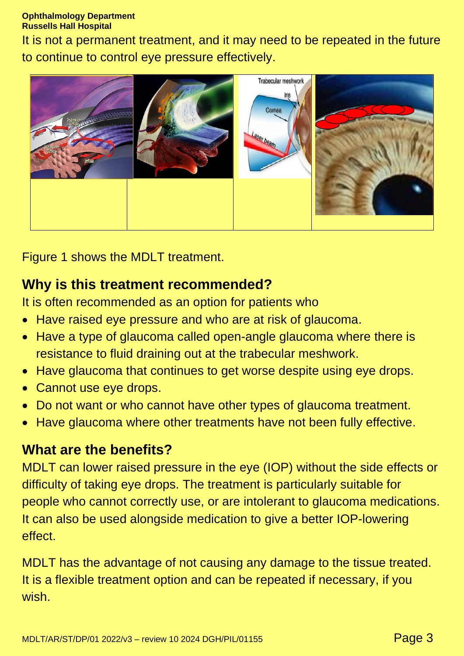It is not a permanent treatment, and it may need to be repeated in the future to continue to control eye pressure effectively.



Figure 1 shows the MDLT treatment.

## **Why is this treatment recommended?**

It is often recommended as an option for patients who

- Have raised eye pressure and who are at risk of glaucoma.
- Have a type of glaucoma called open-angle glaucoma where there is resistance to fluid draining out at the trabecular meshwork.
- Have glaucoma that continues to get worse despite using eye drops.
- Cannot use eye drops.
- Do not want or who cannot have other types of glaucoma treatment.
- Have glaucoma where other treatments have not been fully effective.

#### **What are the benefits?**

MDLT can lower raised pressure in the eye (IOP) without the side effects or difficulty of taking eye drops. The treatment is particularly suitable for people who cannot correctly use, or are intolerant to glaucoma medications. It can also be used alongside medication to give a better IOP-lowering effect.

MDLT has the advantage of not causing any damage to the tissue treated. It is a flexible treatment option and can be repeated if necessary, if you wish.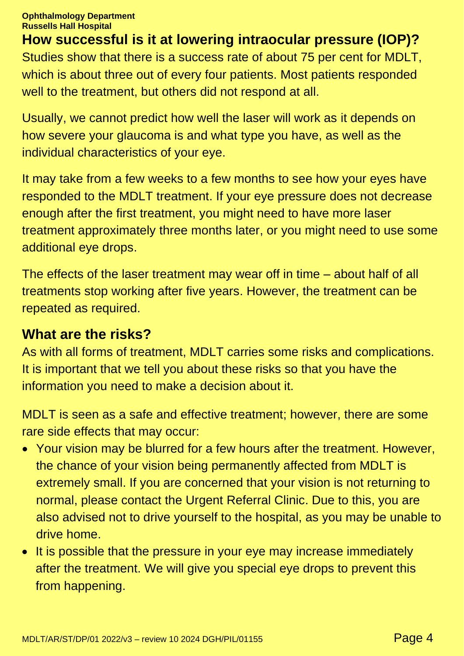**How successful is it at lowering intraocular pressure (IOP)?** Studies show that there is a success rate of about 75 per cent for MDLT, which is about three out of every four patients. Most patients responded well to the treatment, but others did not respond at all.

Usually, we cannot predict how well the laser will work as it depends on how severe your glaucoma is and what type you have, as well as the individual characteristics of your eye.

It may take from a few weeks to a few months to see how your eyes have responded to the MDLT treatment. If your eye pressure does not decrease enough after the first treatment, you might need to have more laser treatment approximately three months later, or you might need to use some additional eye drops.

The effects of the laser treatment may wear off in time – about half of all treatments stop working after five years. However, the treatment can be repeated as required.

#### **What are the risks?**

As with all forms of treatment, MDLT carries some risks and complications. It is important that we tell you about these risks so that you have the information you need to make a decision about it.

MDLT is seen as a safe and effective treatment; however, there are some rare side effects that may occur:

- Your vision may be blurred for a few hours after the treatment. However, the chance of your vision being permanently affected from MDLT is extremely small. If you are concerned that your vision is not returning to normal, please contact the Urgent Referral Clinic. Due to this, you are also advised not to drive yourself to the hospital, as you may be unable to drive home.
- It is possible that the pressure in your eye may increase immediately after the treatment. We will give you special eye drops to prevent this from happening.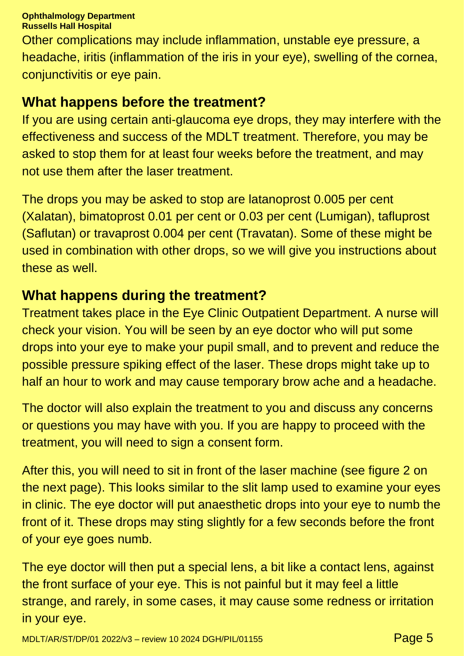Other complications may include inflammation, unstable eye pressure, a headache, iritis (inflammation of the iris in your eye), swelling of the cornea, conjunctivitis or eye pain.

#### **What happens before the treatment?**

If you are using certain anti-glaucoma eye drops, they may interfere with the effectiveness and success of the MDLT treatment. Therefore, you may be asked to stop them for at least four weeks before the treatment, and may not use them after the laser treatment.

The drops you may be asked to stop are latanoprost 0.005 per cent (Xalatan), bimatoprost 0.01 per cent or 0.03 per cent (Lumigan), tafluprost (Saflutan) or travaprost 0.004 per cent (Travatan). Some of these might be used in combination with other drops, so we will give you instructions about these as well.

#### **What happens during the treatment?**

Treatment takes place in the Eye Clinic Outpatient Department. A nurse will check your vision. You will be seen by an eye doctor who will put some drops into your eye to make your pupil small, and to prevent and reduce the possible pressure spiking effect of the laser. These drops might take up to half an hour to work and may cause temporary brow ache and a headache.

The doctor will also explain the treatment to you and discuss any concerns or questions you may have with you. If you are happy to proceed with the treatment, you will need to sign a consent form.

After this, you will need to sit in front of the laser machine (see figure 2 on the next page). This looks similar to the slit lamp used to examine your eyes in clinic. The eye doctor will put anaesthetic drops into your eye to numb the front of it. These drops may sting slightly for a few seconds before the front of your eye goes numb.

The eye doctor will then put a special lens, a bit like a contact lens, against the front surface of your eye. This is not painful but it may feel a little strange, and rarely, in some cases, it may cause some redness or irritation in your eye.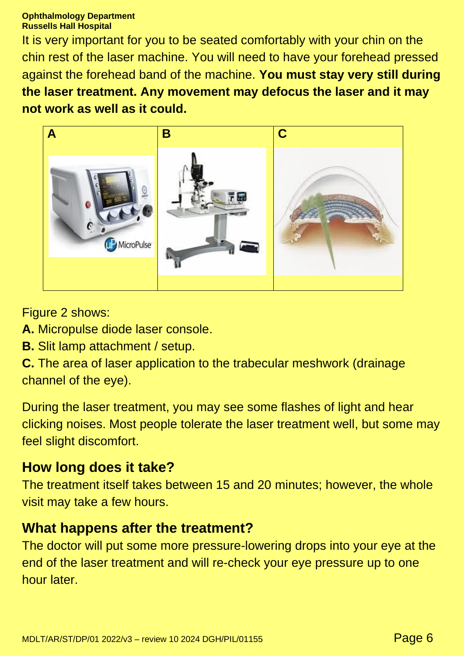It is very important for you to be seated comfortably with your chin on the chin rest of the laser machine. You will need to have your forehead pressed against the forehead band of the machine. **You must stay very still during the laser treatment. Any movement may defocus the laser and it may not work as well as it could.**



Figure 2 shows:

- **A.** Micropulse diode laser console.
- **B.** Slit lamp attachment / setup.

**C.** The area of laser application to the trabecular meshwork (drainage channel of the eye).

During the laser treatment, you may see some flashes of light and hear clicking noises. Most people tolerate the laser treatment well, but some may feel slight discomfort.

### **How long does it take?**

The treatment itself takes between 15 and 20 minutes; however, the whole visit may take a few hours.

### **What happens after the treatment?**

The doctor will put some more pressure-lowering drops into your eye at the end of the laser treatment and will re-check your eye pressure up to one hour later.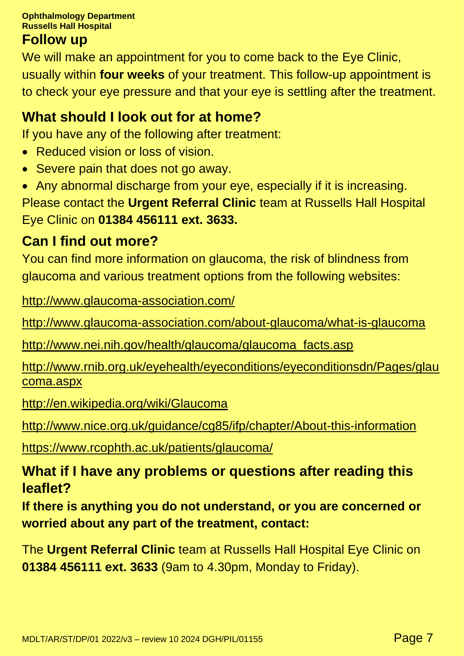#### **Follow up**

We will make an appointment for you to come back to the Eye Clinic, usually within **four weeks** of your treatment. This follow-up appointment is to check your eye pressure and that your eye is settling after the treatment.

# **What should I look out for at home?**

If you have any of the following after treatment:

- Reduced vision or loss of vision.
- Severe pain that does not go away.
- Any abnormal discharge from your eye, especially if it is increasing. Please contact the **Urgent Referral Clinic** team at Russells Hall Hospital Eye Clinic on **01384 456111 ext. 3633.**

# **Can I find out more?**

You can find more information on glaucoma, the risk of blindness from glaucoma and various treatment options from the following websites:

<http://www.glaucoma-association.com/>

<http://www.glaucoma-association.com/about-glaucoma/what-is-glaucoma>

[http://www.nei.nih.gov/health/glaucoma/glaucoma\\_facts.asp](http://www.nei.nih.gov/health/glaucoma/glaucoma_facts.asp)

[http://www.rnib.org.uk/eyehealth/eyeconditions/eyeconditionsdn/Pages/glau](http://www.rnib.org.uk/eyehealth/eyeconditions/eyeconditionsdn/Pages/glaucoma.aspx) [coma.aspx](http://www.rnib.org.uk/eyehealth/eyeconditions/eyeconditionsdn/Pages/glaucoma.aspx)

<http://en.wikipedia.org/wiki/Glaucoma>

<http://www.nice.org.uk/guidance/cg85/ifp/chapter/About-this-information>

<https://www.rcophth.ac.uk/patients/glaucoma/>

# **What if I have any problems or questions after reading this leaflet?**

**If there is anything you do not understand, or you are concerned or worried about any part of the treatment, contact:**

The **Urgent Referral Clinic** team at Russells Hall Hospital Eye Clinic on **01384 456111 ext. 3633** (9am to 4.30pm, Monday to Friday).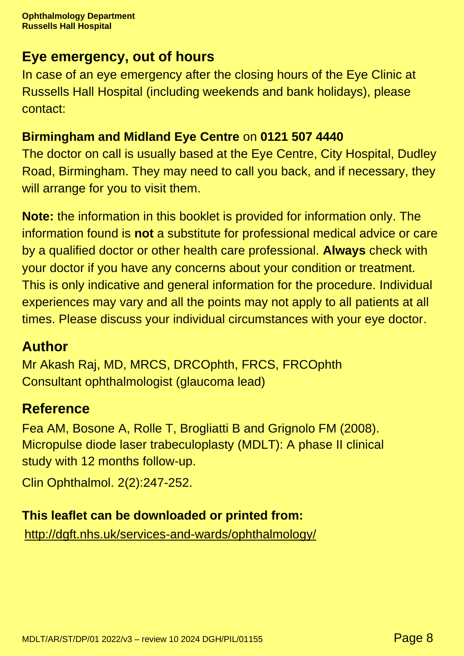# **Eye emergency, out of hours**

In case of an eye emergency after the closing hours of the Eye Clinic at Russells Hall Hospital (including weekends and bank holidays), please contact:

# **Birmingham and Midland Eye Centre** on **0121 507 4440**

The doctor on call is usually based at the Eye Centre, City Hospital, Dudley Road, Birmingham. They may need to call you back, and if necessary, they will arrange for you to visit them.

**Note:** the information in this booklet is provided for information only. The information found is **not** a substitute for professional medical advice or care by a qualified doctor or other health care professional. **Always** check with your doctor if you have any concerns about your condition or treatment. This is only indicative and general information for the procedure. Individual experiences may vary and all the points may not apply to all patients at all times. Please discuss your individual circumstances with your eye doctor.

# **Author**

Mr Akash Raj, MD, MRCS, DRCOphth, FRCS, FRCOphth Consultant ophthalmologist (glaucoma lead)

# **Reference**

Fea AM, Bosone A, Rolle T, Brogliatti B and Grignolo FM (2008). Micropulse diode laser trabeculoplasty (MDLT): A phase II clinical study with 12 months follow-up.

Clin Ophthalmol. 2(2):247-252.

# **This leaflet can be downloaded or printed from:**

<http://dgft.nhs.uk/services-and-wards/ophthalmology/>